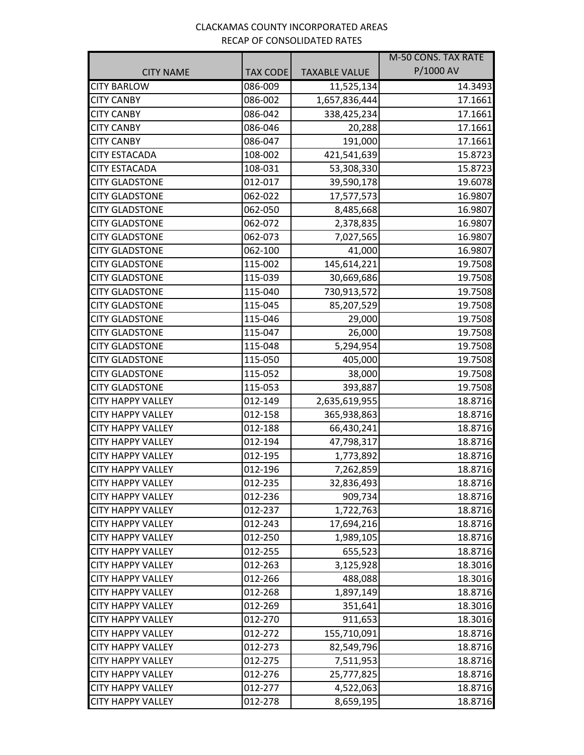## CLACKAMAS COUNTY INCORPORATED AREAS RECAP OF CONSOLIDATED RATES

|                          |                 |                      | M-50 CONS. TAX RATE |
|--------------------------|-----------------|----------------------|---------------------|
| <b>CITY NAME</b>         | <b>TAX CODE</b> | <b>TAXABLE VALUE</b> | P/1000 AV           |
| <b>CITY BARLOW</b>       | 086-009         | 11,525,134           | 14.3493             |
| <b>CITY CANBY</b>        | 086-002         | 1,657,836,444        | 17.1661             |
| <b>CITY CANBY</b>        | 086-042         | 338,425,234          | 17.1661             |
| <b>CITY CANBY</b>        | 086-046         | 20,288               | 17.1661             |
| <b>CITY CANBY</b>        | 086-047         | 191,000              | 17.1661             |
| <b>CITY ESTACADA</b>     | 108-002         | 421,541,639          | 15.8723             |
| <b>CITY ESTACADA</b>     | 108-031         | 53,308,330           | 15.8723             |
| <b>CITY GLADSTONE</b>    | 012-017         | 39,590,178           | 19.6078             |
| <b>CITY GLADSTONE</b>    | 062-022         | 17,577,573           | 16.9807             |
| <b>CITY GLADSTONE</b>    | 062-050         | 8,485,668            | 16.9807             |
| <b>CITY GLADSTONE</b>    | 062-072         | 2,378,835            | 16.9807             |
| <b>CITY GLADSTONE</b>    | 062-073         | 7,027,565            | 16.9807             |
| <b>CITY GLADSTONE</b>    | 062-100         | 41,000               | 16.9807             |
| <b>CITY GLADSTONE</b>    | 115-002         | 145,614,221          | 19.7508             |
| <b>CITY GLADSTONE</b>    | 115-039         | 30,669,686           | 19.7508             |
| <b>CITY GLADSTONE</b>    | 115-040         | 730,913,572          | 19.7508             |
| <b>CITY GLADSTONE</b>    | 115-045         | 85,207,529           | 19.7508             |
| <b>CITY GLADSTONE</b>    | 115-046         | 29,000               | 19.7508             |
| <b>CITY GLADSTONE</b>    | 115-047         | 26,000               | 19.7508             |
| <b>CITY GLADSTONE</b>    | 115-048         | 5,294,954            | 19.7508             |
| <b>CITY GLADSTONE</b>    | 115-050         | 405,000              | 19.7508             |
| <b>CITY GLADSTONE</b>    | 115-052         | 38,000               | 19.7508             |
| <b>CITY GLADSTONE</b>    | 115-053         | 393,887              | 19.7508             |
| <b>CITY HAPPY VALLEY</b> | 012-149         | 2,635,619,955        | 18.8716             |
| <b>CITY HAPPY VALLEY</b> | 012-158         | 365,938,863          | 18.8716             |
| <b>CITY HAPPY VALLEY</b> | 012-188         | 66,430,241           | 18.8716             |
| <b>CITY HAPPY VALLEY</b> | 012-194         | 47,798,317           | 18.8716             |
| <b>CITY HAPPY VALLEY</b> | 012-195         | 1,773,892            | 18.8716             |
| <b>CITY HAPPY VALLEY</b> | 012-196         | 7,262,859            | 18.8716             |
| CITY HAPPY VALLEY        | 012-235         | 32,836,493           | 18.8716             |
| <b>CITY HAPPY VALLEY</b> | 012-236         | 909,734              | 18.8716             |
| <b>CITY HAPPY VALLEY</b> | 012-237         | 1,722,763            | 18.8716             |
| <b>CITY HAPPY VALLEY</b> | 012-243         | 17,694,216           | 18.8716             |
| <b>CITY HAPPY VALLEY</b> | 012-250         | 1,989,105            | 18.8716             |
| <b>CITY HAPPY VALLEY</b> | 012-255         | 655,523              | 18.8716             |
| <b>CITY HAPPY VALLEY</b> | 012-263         | 3,125,928            | 18.3016             |
| <b>CITY HAPPY VALLEY</b> | 012-266         | 488,088              | 18.3016             |
| <b>CITY HAPPY VALLEY</b> | 012-268         | 1,897,149            | 18.8716             |
| <b>CITY HAPPY VALLEY</b> | 012-269         | 351,641              | 18.3016             |
| <b>CITY HAPPY VALLEY</b> | 012-270         | 911,653              | 18.3016             |
| <b>CITY HAPPY VALLEY</b> | 012-272         | 155,710,091          | 18.8716             |
| <b>CITY HAPPY VALLEY</b> | 012-273         | 82,549,796           | 18.8716             |
| <b>CITY HAPPY VALLEY</b> | 012-275         | 7,511,953            | 18.8716             |
| <b>CITY HAPPY VALLEY</b> | 012-276         | 25,777,825           | 18.8716             |
| <b>CITY HAPPY VALLEY</b> | 012-277         | 4,522,063            | 18.8716             |
| <b>CITY HAPPY VALLEY</b> | 012-278         | 8,659,195            | 18.8716             |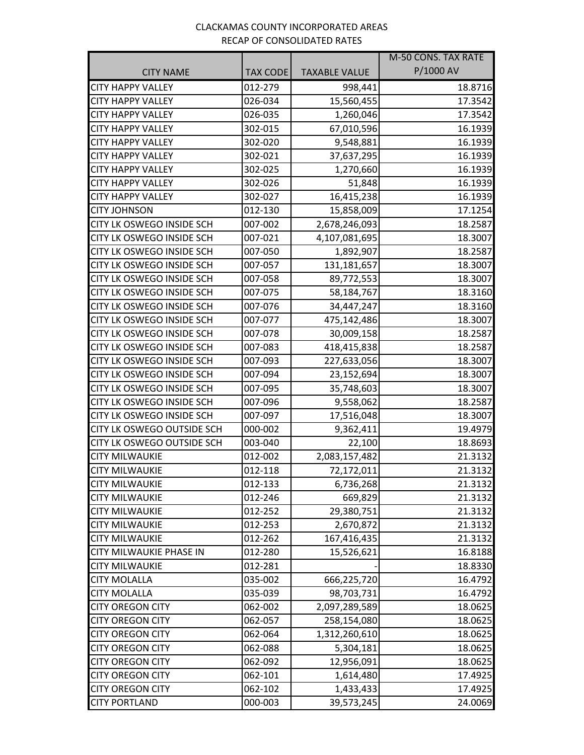## CLACKAMAS COUNTY INCORPORATED AREAS RECAP OF CONSOLIDATED RATES

|                                  |                 |                      | M-50 CONS. TAX RATE |
|----------------------------------|-----------------|----------------------|---------------------|
| <b>CITY NAME</b>                 | <b>TAX CODE</b> | <b>TAXABLE VALUE</b> | P/1000 AV           |
| <b>CITY HAPPY VALLEY</b>         | 012-279         | 998,441              | 18.8716             |
| <b>CITY HAPPY VALLEY</b>         | 026-034         | 15,560,455           | 17.3542             |
| <b>CITY HAPPY VALLEY</b>         | 026-035         | 1,260,046            | 17.3542             |
| <b>CITY HAPPY VALLEY</b>         | 302-015         | 67,010,596           | 16.1939             |
| <b>CITY HAPPY VALLEY</b>         | 302-020         | 9,548,881            | 16.1939             |
| <b>CITY HAPPY VALLEY</b>         | 302-021         | 37,637,295           | 16.1939             |
| <b>CITY HAPPY VALLEY</b>         | 302-025         | 1,270,660            | 16.1939             |
| <b>CITY HAPPY VALLEY</b>         | 302-026         | 51,848               | 16.1939             |
| <b>CITY HAPPY VALLEY</b>         | 302-027         | 16,415,238           | 16.1939             |
| <b>CITY JOHNSON</b>              | 012-130         | 15,858,009           | 17.1254             |
| CITY LK OSWEGO INSIDE SCH        | 007-002         | 2,678,246,093        | 18.2587             |
| <b>CITY LK OSWEGO INSIDE SCH</b> | 007-021         | 4,107,081,695        | 18.3007             |
| CITY LK OSWEGO INSIDE SCH        | 007-050         | 1,892,907            | 18.2587             |
| CITY LK OSWEGO INSIDE SCH        | 007-057         | 131,181,657          | 18.3007             |
| CITY LK OSWEGO INSIDE SCH        | 007-058         | 89,772,553           | 18.3007             |
| CITY LK OSWEGO INSIDE SCH        | 007-075         | 58,184,767           | 18.3160             |
| <b>CITY LK OSWEGO INSIDE SCH</b> | 007-076         | 34,447,247           | 18.3160             |
| CITY LK OSWEGO INSIDE SCH        | 007-077         | 475,142,486          | 18.3007             |
| CITY LK OSWEGO INSIDE SCH        | 007-078         | 30,009,158           | 18.2587             |
| <b>CITY LK OSWEGO INSIDE SCH</b> | 007-083         | 418,415,838          | 18.2587             |
| CITY LK OSWEGO INSIDE SCH        | 007-093         | 227,633,056          | 18.3007             |
| <b>CITY LK OSWEGO INSIDE SCH</b> | 007-094         | 23,152,694           | 18.3007             |
| CITY LK OSWEGO INSIDE SCH        | 007-095         | 35,748,603           | 18.3007             |
| CITY LK OSWEGO INSIDE SCH        | 007-096         | 9,558,062            | 18.2587             |
| CITY LK OSWEGO INSIDE SCH        | 007-097         | 17,516,048           | 18.3007             |
| CITY LK OSWEGO OUTSIDE SCH       | 000-002         | 9,362,411            | 19.4979             |
| CITY LK OSWEGO OUTSIDE SCH       | 003-040         | 22,100               | 18.8693             |
| <b>CITY MILWAUKIE</b>            | 012-002         | 2,083,157,482        | 21.3132             |
| <b>CITY MILWAUKIE</b>            | 012-118         | 72,172,011           | 21.3132             |
| <b>CITY MILWAUKIE</b>            | 012-133         | 6,736,268            | 21.3132             |
| <b>CITY MILWAUKIE</b>            | 012-246         | 669,829              | 21.3132             |
| <b>CITY MILWAUKIE</b>            | 012-252         | 29,380,751           | 21.3132             |
| <b>CITY MILWAUKIE</b>            | 012-253         | 2,670,872            | 21.3132             |
| <b>CITY MILWAUKIE</b>            | 012-262         | 167,416,435          | 21.3132             |
| <b>CITY MILWAUKIE PHASE IN</b>   | 012-280         | 15,526,621           | 16.8188             |
| <b>CITY MILWAUKIE</b>            | 012-281         |                      | 18.8330             |
| <b>CITY MOLALLA</b>              | 035-002         | 666,225,720          | 16.4792             |
| <b>CITY MOLALLA</b>              | 035-039         | 98,703,731           | 16.4792             |
| <b>CITY OREGON CITY</b>          | 062-002         | 2,097,289,589        | 18.0625             |
| <b>CITY OREGON CITY</b>          | 062-057         | 258,154,080          | 18.0625             |
| <b>CITY OREGON CITY</b>          | 062-064         | 1,312,260,610        | 18.0625             |
| <b>CITY OREGON CITY</b>          | 062-088         | 5,304,181            | 18.0625             |
| <b>CITY OREGON CITY</b>          | 062-092         | 12,956,091           | 18.0625             |
| <b>CITY OREGON CITY</b>          | 062-101         | 1,614,480            | 17.4925             |
| <b>CITY OREGON CITY</b>          | 062-102         | 1,433,433            | 17.4925             |
| <b>CITY PORTLAND</b>             | 000-003         | 39,573,245           | 24.0069             |